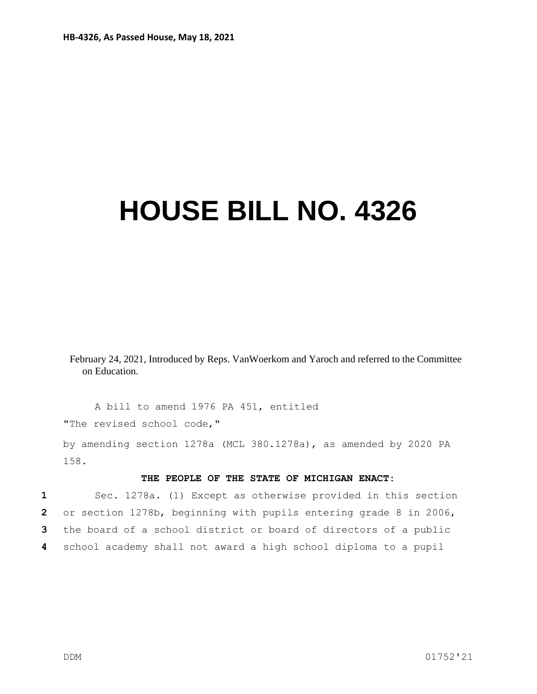## **HOUSE BILL NO. 4326**

February 24, 2021, Introduced by Reps. VanWoerkom and Yaroch and referred to the Committee on Education.

A bill to amend 1976 PA 451, entitled "The revised school code,"

by amending section 1278a (MCL 380.1278a), as amended by 2020 PA 158.

## **THE PEOPLE OF THE STATE OF MICHIGAN ENACT:**

 Sec. 1278a. (1) Except as otherwise provided in this section or section 1278b, beginning with pupils entering grade 8 in 2006, the board of a school district or board of directors of a public school academy shall not award a high school diploma to a pupil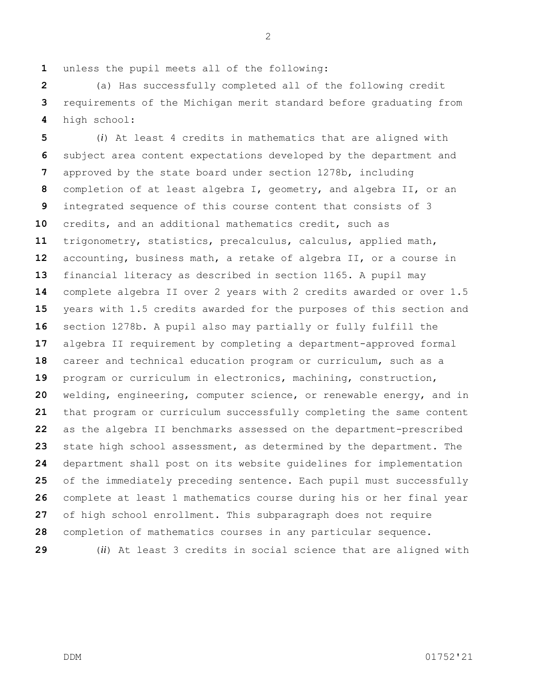unless the pupil meets all of the following:

 (a) Has successfully completed all of the following credit requirements of the Michigan merit standard before graduating from high school:

 (*i*) At least 4 credits in mathematics that are aligned with subject area content expectations developed by the department and approved by the state board under section 1278b, including completion of at least algebra I, geometry, and algebra II, or an integrated sequence of this course content that consists of 3 credits, and an additional mathematics credit, such as trigonometry, statistics, precalculus, calculus, applied math, accounting, business math, a retake of algebra II, or a course in financial literacy as described in section 1165. A pupil may complete algebra II over 2 years with 2 credits awarded or over 1.5 years with 1.5 credits awarded for the purposes of this section and section 1278b. A pupil also may partially or fully fulfill the algebra II requirement by completing a department-approved formal career and technical education program or curriculum, such as a program or curriculum in electronics, machining, construction, welding, engineering, computer science, or renewable energy, and in that program or curriculum successfully completing the same content as the algebra II benchmarks assessed on the department-prescribed state high school assessment, as determined by the department. The department shall post on its website guidelines for implementation of the immediately preceding sentence. Each pupil must successfully complete at least 1 mathematics course during his or her final year of high school enrollment. This subparagraph does not require completion of mathematics courses in any particular sequence.

(*ii*) At least 3 credits in social science that are aligned with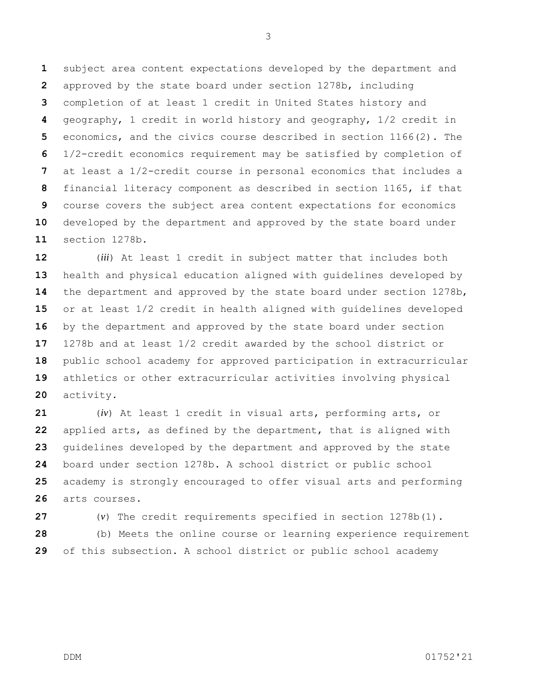subject area content expectations developed by the department and approved by the state board under section 1278b, including completion of at least 1 credit in United States history and geography, 1 credit in world history and geography, 1/2 credit in economics, and the civics course described in section 1166(2). The 1/2-credit economics requirement may be satisfied by completion of at least a 1/2-credit course in personal economics that includes a financial literacy component as described in section 1165, if that course covers the subject area content expectations for economics developed by the department and approved by the state board under section 1278b.

 (*iii*) At least 1 credit in subject matter that includes both health and physical education aligned with guidelines developed by the department and approved by the state board under section 1278b, or at least 1/2 credit in health aligned with guidelines developed by the department and approved by the state board under section 1278b and at least 1/2 credit awarded by the school district or public school academy for approved participation in extracurricular athletics or other extracurricular activities involving physical activity.

 (*iv*) At least 1 credit in visual arts, performing arts, or applied arts, as defined by the department, that is aligned with guidelines developed by the department and approved by the state board under section 1278b. A school district or public school academy is strongly encouraged to offer visual arts and performing arts courses.

 (*v*) The credit requirements specified in section 1278b(1). (b) Meets the online course or learning experience requirement of this subsection. A school district or public school academy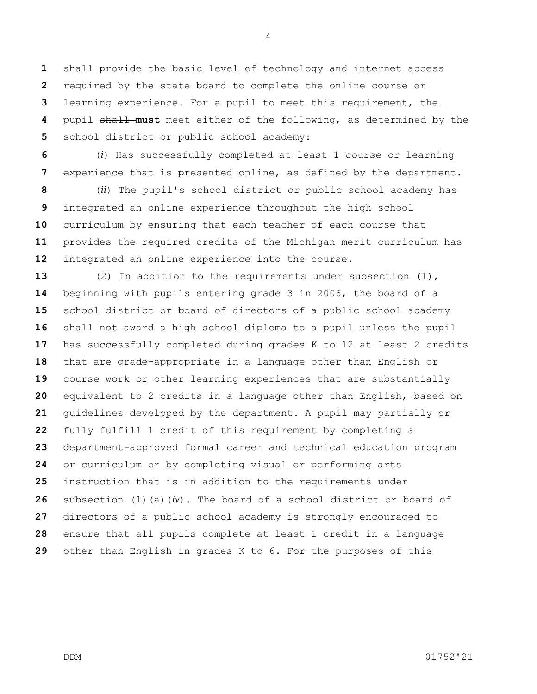shall provide the basic level of technology and internet access required by the state board to complete the online course or learning experience. For a pupil to meet this requirement, the pupil shall **must** meet either of the following, as determined by the school district or public school academy:

 (*i*) Has successfully completed at least 1 course or learning experience that is presented online, as defined by the department.

 (*ii*) The pupil's school district or public school academy has integrated an online experience throughout the high school curriculum by ensuring that each teacher of each course that provides the required credits of the Michigan merit curriculum has integrated an online experience into the course.

 (2) In addition to the requirements under subsection (1), beginning with pupils entering grade 3 in 2006, the board of a school district or board of directors of a public school academy shall not award a high school diploma to a pupil unless the pupil has successfully completed during grades K to 12 at least 2 credits that are grade-appropriate in a language other than English or course work or other learning experiences that are substantially equivalent to 2 credits in a language other than English, based on guidelines developed by the department. A pupil may partially or fully fulfill 1 credit of this requirement by completing a department-approved formal career and technical education program or curriculum or by completing visual or performing arts instruction that is in addition to the requirements under subsection (1)(a)(*iv*). The board of a school district or board of directors of a public school academy is strongly encouraged to ensure that all pupils complete at least 1 credit in a language other than English in grades K to 6. For the purposes of this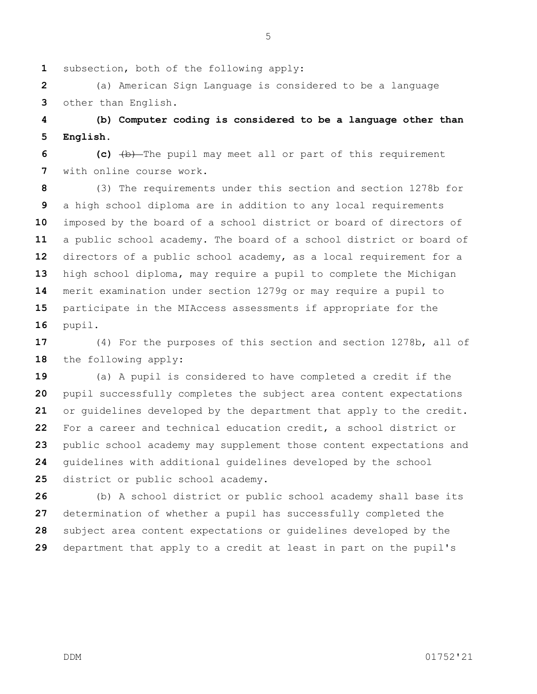subsection, both of the following apply:

 (a) American Sign Language is considered to be a language other than English.

 **(b) Computer coding is considered to be a language other than English.**

 **(c)** (b) The pupil may meet all or part of this requirement with online course work.

 (3) The requirements under this section and section 1278b for a high school diploma are in addition to any local requirements imposed by the board of a school district or board of directors of a public school academy. The board of a school district or board of directors of a public school academy, as a local requirement for a high school diploma, may require a pupil to complete the Michigan merit examination under section 1279g or may require a pupil to participate in the MIAccess assessments if appropriate for the pupil.

 (4) For the purposes of this section and section 1278b, all of the following apply:

 (a) A pupil is considered to have completed a credit if the pupil successfully completes the subject area content expectations or guidelines developed by the department that apply to the credit. For a career and technical education credit, a school district or public school academy may supplement those content expectations and guidelines with additional guidelines developed by the school district or public school academy.

 (b) A school district or public school academy shall base its determination of whether a pupil has successfully completed the subject area content expectations or guidelines developed by the department that apply to a credit at least in part on the pupil's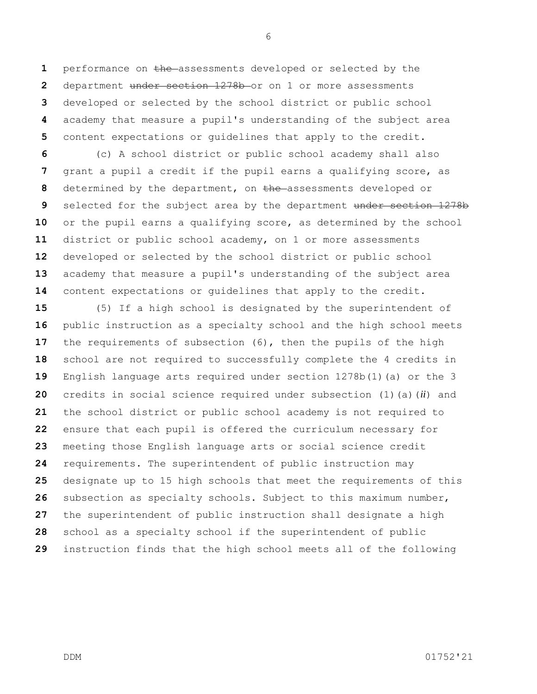performance on the assessments developed or selected by the department under section 1278b or on 1 or more assessments developed or selected by the school district or public school academy that measure a pupil's understanding of the subject area content expectations or guidelines that apply to the credit.

 (c) A school district or public school academy shall also grant a pupil a credit if the pupil earns a qualifying score, as determined by the department, on the assessments developed or selected for the subject area by the department under section 1278b or the pupil earns a qualifying score, as determined by the school district or public school academy, on 1 or more assessments developed or selected by the school district or public school academy that measure a pupil's understanding of the subject area content expectations or guidelines that apply to the credit.

 (5) If a high school is designated by the superintendent of public instruction as a specialty school and the high school meets 17 the requirements of subsection (6), then the pupils of the high school are not required to successfully complete the 4 credits in English language arts required under section 1278b(1)(a) or the 3 credits in social science required under subsection (1)(a)(*ii*) and the school district or public school academy is not required to ensure that each pupil is offered the curriculum necessary for meeting those English language arts or social science credit requirements. The superintendent of public instruction may designate up to 15 high schools that meet the requirements of this subsection as specialty schools. Subject to this maximum number, the superintendent of public instruction shall designate a high school as a specialty school if the superintendent of public instruction finds that the high school meets all of the following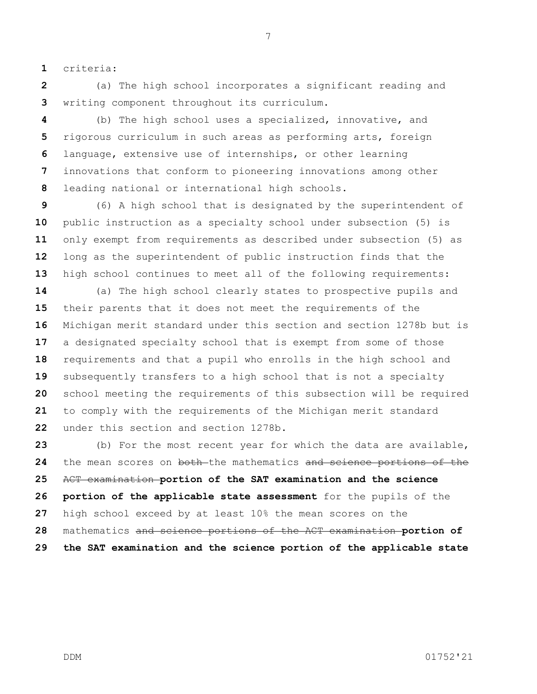criteria:

 (a) The high school incorporates a significant reading and writing component throughout its curriculum.

 (b) The high school uses a specialized, innovative, and rigorous curriculum in such areas as performing arts, foreign language, extensive use of internships, or other learning innovations that conform to pioneering innovations among other leading national or international high schools.

 (6) A high school that is designated by the superintendent of public instruction as a specialty school under subsection (5) is only exempt from requirements as described under subsection (5) as long as the superintendent of public instruction finds that the high school continues to meet all of the following requirements:

 (a) The high school clearly states to prospective pupils and their parents that it does not meet the requirements of the Michigan merit standard under this section and section 1278b but is a designated specialty school that is exempt from some of those requirements and that a pupil who enrolls in the high school and subsequently transfers to a high school that is not a specialty school meeting the requirements of this subsection will be required to comply with the requirements of the Michigan merit standard under this section and section 1278b.

 (b) For the most recent year for which the data are available, the mean scores on both the mathematics and science portions of the ACT examination **portion of the SAT examination and the science portion of the applicable state assessment** for the pupils of the high school exceed by at least 10% the mean scores on the mathematics and science portions of the ACT examination **portion of the SAT examination and the science portion of the applicable state** 

DDM 01752'21